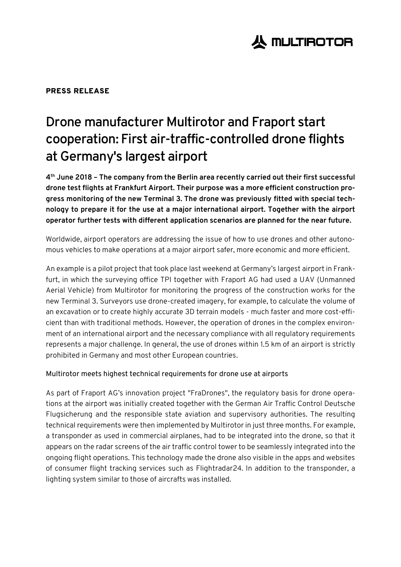# **人 MULTIROTOR**

### PRESS RELEASE

# **Drone manufacturer Multirotor and Fraport start cooperation: First air-traffic-controlled drone flights at Germany's largest airport**

**4 th June 2018 – The company from the Berlin area recently carried out their first successful drone test flights at Frankfurt Airport. Their purpose was a more efficient construction progress monitoring of the new Terminal 3. The drone was previously fitted with special technology to prepare it for the use at a major international airport. Together with the airport operator further tests with different application scenarios are planned for the near future.**

Worldwide, airport operators are addressing the issue of how to use drones and other autonomous vehicles to make operations at a major airport safer, more economic and more efficient.

An example is a pilot project that took place last weekend at Germany's largest airport in Frankfurt, in which the surveying office TPI together with Fraport AG had used a UAV (Unmanned Aerial Vehicle) from Multirotor for monitoring the progress of the construction works for the new Terminal 3. Surveyors use drone-created imagery, for example, to calculate the volume of an excavation or to create highly accurate 3D terrain models - much faster and more cost-efficient than with traditional methods. However, the operation of drones in the complex environment of an international airport and the necessary compliance with all regulatory requirements represents a major challenge. In general, the use of drones within 1.5 km of an airport is strictly prohibited in Germany and most other European countries.

#### Multirotor meets highest technical requirements for drone use at airports

As part of Fraport AG's innovation project "FraDrones", the regulatory basis for drone operations at the airport was initially created together with the German Air Traffic Control Deutsche Flugsicherung and the responsible state aviation and supervisory authorities. The resulting technical requirements were then implemented by Multirotor in just three months. For example, a transponder as used in commercial airplanes, had to be integrated into the drone, so that it appears on the radar screens of the air traffic control tower to be seamlessly integrated into the ongoing flight operations. This technology made the drone also visible in the apps and websites of consumer flight tracking services such as Flightradar24. In addition to the transponder, a lighting system similar to those of aircrafts was installed.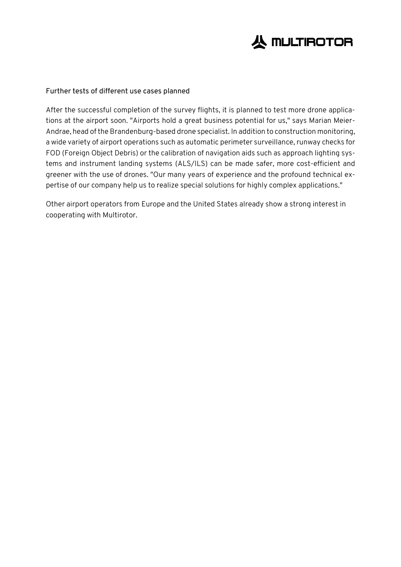

#### Further tests of different use cases planned

After the successful completion of the survey flights, it is planned to test more drone applications at the airport soon. "Airports hold a great business potential for us," says Marian Meier-Andrae, head of the Brandenburg-based drone specialist. In addition to construction monitoring, a wide variety of airport operations such as automatic perimeter surveillance, runway checks for FOD (Foreign Object Debris) or the calibration of navigation aids such as approach lighting systems and instrument landing systems (ALS/ILS) can be made safer, more cost-efficient and greener with the use of drones. "Our many years of experience and the profound technical expertise of our company help us to realize special solutions for highly complex applications."

Other airport operators from Europe and the United States already show a strong interest in cooperating with Multirotor.